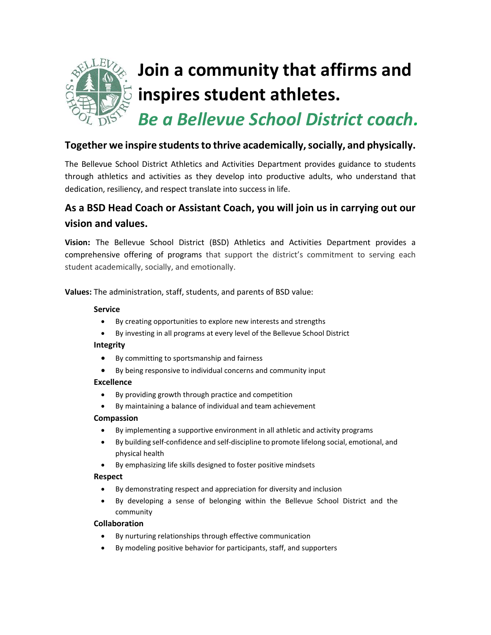

### **Together we inspire students to thrive academically, socially, and physically.**

The Bellevue School District Athletics and Activities Department provides guidance to students through athletics and activities as they develop into productive adults, who understand that dedication, resiliency, and respect translate into success in life.

# **As a BSD Head Coach or Assistant Coach, you will join us in carrying out our vision and values.**

**Vision:** The Bellevue School District (BSD) Athletics and Activities Department provides a comprehensive offering of programs that support the district's commitment to serving each student academically, socially, and emotionally.

**Values:** The administration, staff, students, and parents of BSD value:

### **Service**

- By creating opportunities to explore new interests and strengths
- By investing in all programs at every level of the Bellevue School District

### **Integrity**

- By committing to sportsmanship and fairness
- By being responsive to individual concerns and community input

### **Excellence**

- By providing growth through practice and competition
- By maintaining a balance of individual and team achievement

### **Compassion**

- By implementing a supportive environment in all athletic and activity programs
- By building self-confidence and self-discipline to promote lifelong social, emotional, and physical health
- By emphasizing life skills designed to foster positive mindsets

### **Respect**

- By demonstrating respect and appreciation for diversity and inclusion
- By developing a sense of belonging within the Bellevue School District and the community

### **Collaboration**

- By nurturing relationships through effective communication
- By modeling positive behavior for participants, staff, and supporters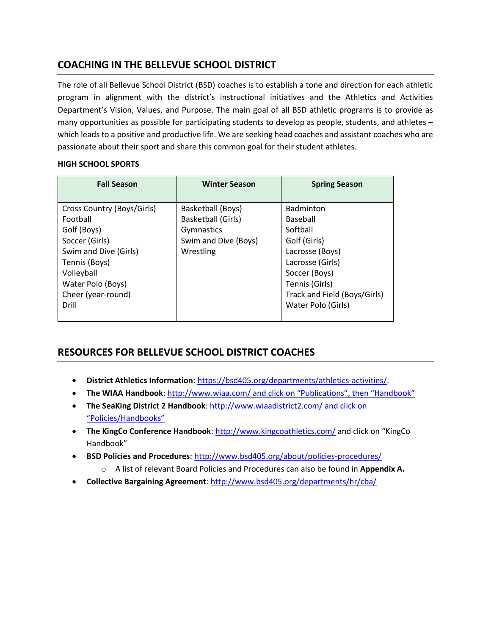## **COACHING IN THE BELLEVUE SCHOOL DISTRICT**

The role of all Bellevue School District (BSD) coaches is to establish a tone and direction for each athletic program in alignment with the district's instructional initiatives and the Athletics and Activities Department's Vision, Values, and Purpose. The main goal of all BSD athletic programs is to provide as many opportunities as possible for participating students to develop as people, students, and athletes – which leads to a positive and productive life. We are seeking head coaches and assistant coaches who are passionate about their sport and share this common goal for their student athletes.

### **HIGH SCHOOL SPORTS**

| <b>Fall Season</b>                                                                                                                                                         | <b>Winter Season</b>                                                                              | <b>Spring Season</b>                                                                                                                                               |
|----------------------------------------------------------------------------------------------------------------------------------------------------------------------------|---------------------------------------------------------------------------------------------------|--------------------------------------------------------------------------------------------------------------------------------------------------------------------|
| Cross Country (Boys/Girls)<br>Football<br>Golf (Boys)<br>Soccer (Girls)<br>Swim and Dive (Girls)<br>Tennis (Boys)<br>Volleyball<br>Water Polo (Boys)<br>Cheer (year-round) | Basketball (Boys)<br><b>Basketball (Girls)</b><br>Gymnastics<br>Swim and Dive (Boys)<br>Wrestling | <b>Badminton</b><br>Baseball<br>Softball<br>Golf (Girls)<br>Lacrosse (Boys)<br>Lacrosse (Girls)<br>Soccer (Boys)<br>Tennis (Girls)<br>Track and Field (Boys/Girls) |
| Drill                                                                                                                                                                      |                                                                                                   | Water Polo (Girls)                                                                                                                                                 |

## **RESOURCES FOR BELLEVUE SCHOOL DISTRICT COACHES**

- **District Athletics Information**: [https://bsd405.org/departments/athletics-activities/.](https://bsd405.org/departments/athletics-activities/)
- **The WIAA Handbook**[: http://www.wiaa.com/](http://www.wiaa.com/) and click on "Publications", then "Handbook"
- **The SeaKing District 2 Handbook**:<http://www.wiaadistrict2.com/> and click on "Policies/Handbooks"
- **The KingCo Conference Handbook**: <http://www.kingcoathletics.com/> and click on "KingCo Handbook"
- **BSD Policies and Procedures**:<http://www.bsd405.org/about/policies-procedures/>
	- o A list of relevant Board Policies and Procedures can also be found in **Appendix A.**
- **Collective Bargaining Agreement**[: http://www.bsd405.org/departments/hr/cba/](http://www.bsd405.org/departments/hr/cba/)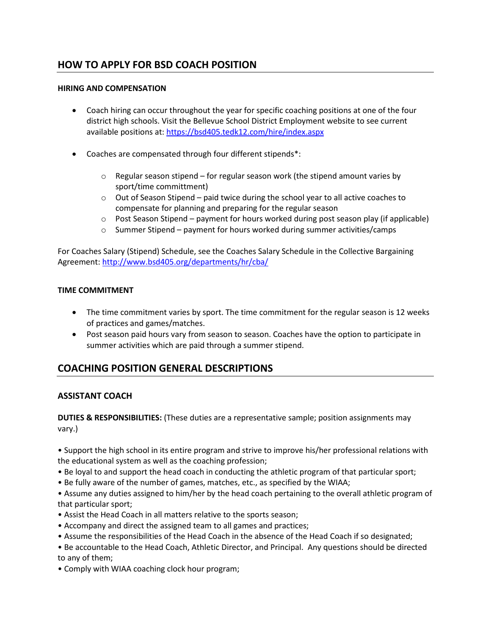## **HOW TO APPLY FOR BSD COACH POSITION**

### **HIRING AND COMPENSATION**

- Coach hiring can occur throughout the year for specific coaching positions at one of the four district high schools. Visit the Bellevue School District Employment website to see current available positions at[: https://bsd405.tedk12.com/hire/index.aspx](https://bsd405.tedk12.com/hire/index.aspx)
- Coaches are compensated through four different stipends\*:
	- o Regular season stipend for regular season work (the stipend amount varies by sport/time committment)
	- $\circ$  Out of Season Stipend paid twice during the school year to all active coaches to compensate for planning and preparing for the regular season
	- $\circ$  Post Season Stipend payment for hours worked during post season play (if applicable)
	- $\circ$  Summer Stipend payment for hours worked during summer activities/camps

For Coaches Salary (Stipend) Schedule, see the Coaches Salary Schedule in the Collective Bargaining Agreement[: http://www.bsd405.org/departments/hr/cba/](http://www.bsd405.org/departments/hr/cba/)

### **TIME COMMITMENT**

- The time commitment varies by sport. The time commitment for the regular season is 12 weeks of practices and games/matches.
- Post season paid hours vary from season to season. Coaches have the option to participate in summer activities which are paid through a summer stipend.

### **COACHING POSITION GENERAL DESCRIPTIONS**

### **ASSISTANT COACH**

**DUTIES & RESPONSIBILITIES:** (These duties are a representative sample; position assignments may vary.)

• Support the high school in its entire program and strive to improve his/her professional relations with the educational system as well as the coaching profession;

- Be loyal to and support the head coach in conducting the athletic program of that particular sport;
- Be fully aware of the number of games, matches, etc., as specified by the WIAA;

• Assume any duties assigned to him/her by the head coach pertaining to the overall athletic program of that particular sport;

- Assist the Head Coach in all matters relative to the sports season;
- Accompany and direct the assigned team to all games and practices;
- Assume the responsibilities of the Head Coach in the absence of the Head Coach if so designated;
- Be accountable to the Head Coach, Athletic Director, and Principal. Any questions should be directed to any of them;
- Comply with WIAA coaching clock hour program;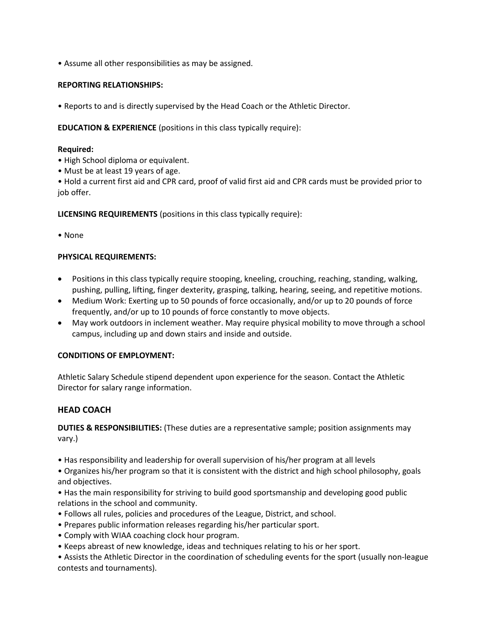• Assume all other responsibilities as may be assigned.

### **REPORTING RELATIONSHIPS:**

• Reports to and is directly supervised by the Head Coach or the Athletic Director.

### **EDUCATION & EXPERIENCE** (positions in this class typically require):

### **Required:**

- High School diploma or equivalent.
- Must be at least 19 years of age.

• Hold a current first aid and CPR card, proof of valid first aid and CPR cards must be provided prior to job offer.

**LICENSING REQUIREMENTS** (positions in this class typically require):

• None

### **PHYSICAL REQUIREMENTS:**

- Positions in this class typically require stooping, kneeling, crouching, reaching, standing, walking, pushing, pulling, lifting, finger dexterity, grasping, talking, hearing, seeing, and repetitive motions.
- Medium Work: Exerting up to 50 pounds of force occasionally, and/or up to 20 pounds of force frequently, and/or up to 10 pounds of force constantly to move objects.
- May work outdoors in inclement weather. May require physical mobility to move through a school campus, including up and down stairs and inside and outside.

### **CONDITIONS OF EMPLOYMENT:**

Athletic Salary Schedule stipend dependent upon experience for the season. Contact the Athletic Director for salary range information.

### **HEAD COACH**

**DUTIES & RESPONSIBILITIES:** (These duties are a representative sample; position assignments may vary.)

• Has responsibility and leadership for overall supervision of his/her program at all levels

• Organizes his/her program so that it is consistent with the district and high school philosophy, goals and objectives.

• Has the main responsibility for striving to build good sportsmanship and developing good public relations in the school and community.

- Follows all rules, policies and procedures of the League, District, and school.
- Prepares public information releases regarding his/her particular sport.
- Comply with WIAA coaching clock hour program.
- Keeps abreast of new knowledge, ideas and techniques relating to his or her sport.

• Assists the Athletic Director in the coordination of scheduling events for the sport (usually non-league contests and tournaments).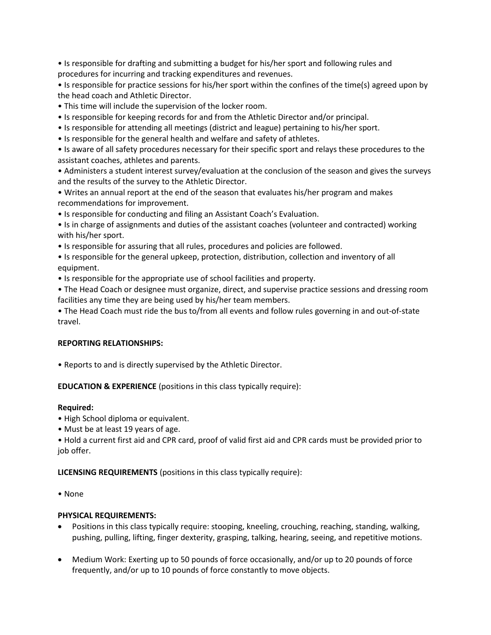• Is responsible for drafting and submitting a budget for his/her sport and following rules and procedures for incurring and tracking expenditures and revenues.

• Is responsible for practice sessions for his/her sport within the confines of the time(s) agreed upon by the head coach and Athletic Director.

- This time will include the supervision of the locker room.
- Is responsible for keeping records for and from the Athletic Director and/or principal.
- Is responsible for attending all meetings (district and league) pertaining to his/her sport.
- Is responsible for the general health and welfare and safety of athletes.

• Is aware of all safety procedures necessary for their specific sport and relays these procedures to the assistant coaches, athletes and parents.

• Administers a student interest survey/evaluation at the conclusion of the season and gives the surveys and the results of the survey to the Athletic Director.

• Writes an annual report at the end of the season that evaluates his/her program and makes recommendations for improvement.

• Is responsible for conducting and filing an Assistant Coach's Evaluation.

• Is in charge of assignments and duties of the assistant coaches (volunteer and contracted) working with his/her sport.

• Is responsible for assuring that all rules, procedures and policies are followed.

• Is responsible for the general upkeep, protection, distribution, collection and inventory of all equipment.

• Is responsible for the appropriate use of school facilities and property.

• The Head Coach or designee must organize, direct, and supervise practice sessions and dressing room facilities any time they are being used by his/her team members.

• The Head Coach must ride the bus to/from all events and follow rules governing in and out-of-state travel.

### **REPORTING RELATIONSHIPS:**

• Reports to and is directly supervised by the Athletic Director.

**EDUCATION & EXPERIENCE** (positions in this class typically require):

### **Required:**

- High School diploma or equivalent.
- Must be at least 19 years of age.

• Hold a current first aid and CPR card, proof of valid first aid and CPR cards must be provided prior to job offer.

### **LICENSING REQUIREMENTS** (positions in this class typically require):

• None

### **PHYSICAL REQUIREMENTS:**

- Positions in this class typically require: stooping, kneeling, crouching, reaching, standing, walking, pushing, pulling, lifting, finger dexterity, grasping, talking, hearing, seeing, and repetitive motions.
- Medium Work: Exerting up to 50 pounds of force occasionally, and/or up to 20 pounds of force frequently, and/or up to 10 pounds of force constantly to move objects.